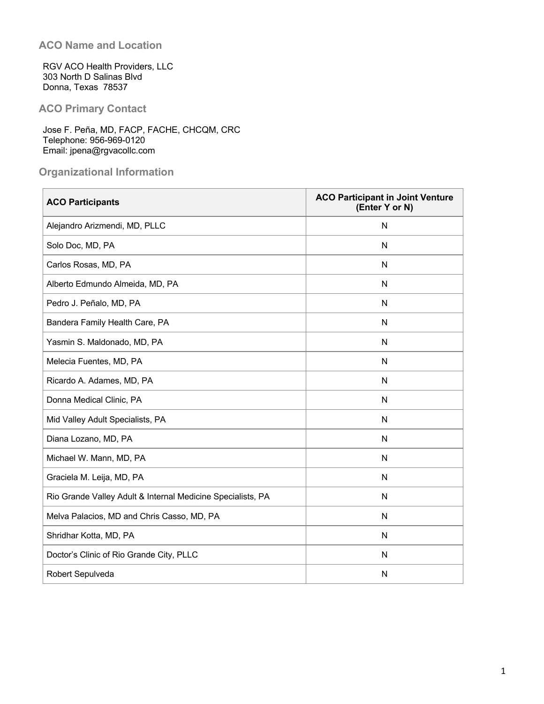## **ACO Name and Location**

RGV ACO Health Providers, LLC 303 North D Salinas Blvd Donna, Texas 78537

# **ACO Primary Contact**

Jose F. Peña, MD, FACP, FACHE, CHCQM, CRC Telephone: 956-969-0120 Email: jpena@rgvacollc.com

# **Organizational Information**

| <b>ACO Participants</b>                                     | <b>ACO Participant in Joint Venture</b><br>(Enter Y or N) |
|-------------------------------------------------------------|-----------------------------------------------------------|
| Alejandro Arizmendi, MD, PLLC                               | ${\sf N}$                                                 |
| Solo Doc, MD, PA                                            | N                                                         |
| Carlos Rosas, MD, PA                                        | $\mathsf{N}$                                              |
| Alberto Edmundo Almeida, MD, PA                             | N                                                         |
| Pedro J. Peñalo, MD, PA                                     | N                                                         |
| Bandera Family Health Care, PA                              | N                                                         |
| Yasmin S. Maldonado, MD, PA                                 | N                                                         |
| Melecia Fuentes, MD, PA                                     | N                                                         |
| Ricardo A. Adames, MD, PA                                   | N                                                         |
| Donna Medical Clinic, PA                                    | ${\sf N}$                                                 |
| Mid Valley Adult Specialists, PA                            | N                                                         |
| Diana Lozano, MD, PA                                        | N                                                         |
| Michael W. Mann, MD, PA                                     | N                                                         |
| Graciela M. Leija, MD, PA                                   | N                                                         |
| Rio Grande Valley Adult & Internal Medicine Specialists, PA | N                                                         |
| Melva Palacios, MD and Chris Casso, MD, PA                  | N                                                         |
| Shridhar Kotta, MD, PA                                      | N                                                         |
| Doctor's Clinic of Rio Grande City, PLLC                    | N                                                         |
| Robert Sepulveda                                            | N                                                         |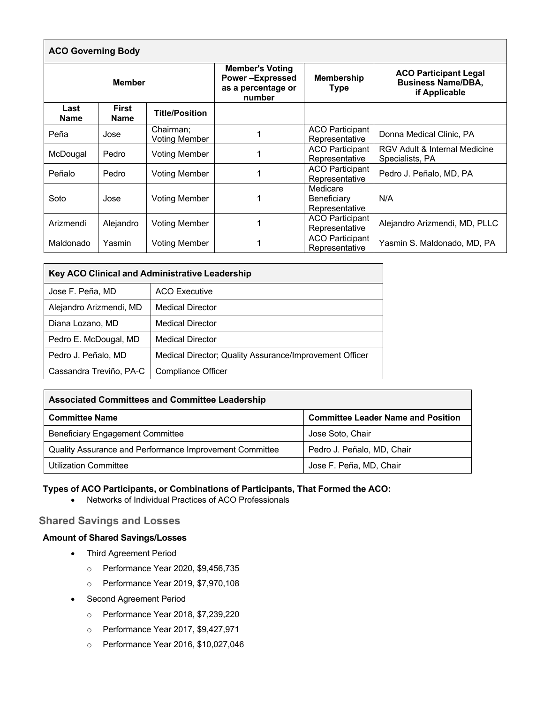| <b>ACO Governing Body</b> |                      |                                                                                  |                           |                                                                            |                                                  |  |
|---------------------------|----------------------|----------------------------------------------------------------------------------|---------------------------|----------------------------------------------------------------------------|--------------------------------------------------|--|
| <b>Member</b>             |                      | <b>Member's Voting</b><br><b>Power-Expressed</b><br>as a percentage or<br>number | <b>Membership</b><br>Type | <b>ACO Participant Legal</b><br><b>Business Name/DBA,</b><br>if Applicable |                                                  |  |
| Last<br><b>Name</b>       | First<br><b>Name</b> | <b>Title/Position</b>                                                            |                           |                                                                            |                                                  |  |
| Peña                      | Jose                 | Chairman:<br>Voting Member                                                       |                           | <b>ACO Participant</b><br>Representative                                   | Donna Medical Clinic, PA                         |  |
| McDougal                  | Pedro                | Voting Member                                                                    |                           | <b>ACO Participant</b><br>Representative                                   | RGV Adult & Internal Medicine<br>Specialists, PA |  |
| Peñalo                    | Pedro                | <b>Voting Member</b>                                                             |                           | <b>ACO Participant</b><br>Representative                                   | Pedro J. Peñalo, MD, PA                          |  |
| Soto                      | Jose                 | <b>Voting Member</b>                                                             |                           | Medicare<br>Beneficiary<br>Representative                                  | N/A                                              |  |
| Arizmendi                 | Alejandro            | Voting Member                                                                    |                           | <b>ACO Participant</b><br>Representative                                   | Alejandro Arizmendi, MD, PLLC                    |  |
| Maldonado                 | Yasmin               | Voting Member                                                                    |                           | <b>ACO Participant</b><br>Representative                                   | Yasmin S. Maldonado, MD, PA                      |  |

| <b>Key ACO Clinical and Administrative Leadership</b> |                                                         |  |  |  |
|-------------------------------------------------------|---------------------------------------------------------|--|--|--|
| Jose F. Peña, MD                                      | <b>ACO Executive</b>                                    |  |  |  |
| Alejandro Arizmendi, MD                               | <b>Medical Director</b>                                 |  |  |  |
| Diana Lozano, MD                                      | <b>Medical Director</b>                                 |  |  |  |
| Pedro E. McDougal, MD                                 | <b>Medical Director</b>                                 |  |  |  |
| Pedro J. Peñalo, MD                                   | Medical Director; Quality Assurance/Improvement Officer |  |  |  |
| Cassandra Treviño, PA-C                               | Compliance Officer                                      |  |  |  |

| <b>Associated Committees and Committee Leadership</b>   |                                           |  |  |  |
|---------------------------------------------------------|-------------------------------------------|--|--|--|
| <b>Committee Name</b>                                   | <b>Committee Leader Name and Position</b> |  |  |  |
| <b>Beneficiary Engagement Committee</b>                 | Jose Soto, Chair                          |  |  |  |
| Quality Assurance and Performance Improvement Committee | Pedro J. Peñalo, MD, Chair                |  |  |  |
| <b>Utilization Committee</b>                            | Jose F. Peña, MD, Chair                   |  |  |  |

### **Types of ACO Participants, or Combinations of Participants, That Formed the ACO:**

• Networks of Individual Practices of ACO Professionals

## **Shared Savings and Losses**

#### **Amount of Shared Savings/Losses**

- Third Agreement Period
	- o Performance Year 2020, \$9,456,735
	- o Performance Year 2019, \$7,970,108
- Second Agreement Period
	- o Performance Year 2018, \$7,239,220
	- o Performance Year 2017, \$9,427,971
	- o Performance Year 2016, \$10,027,046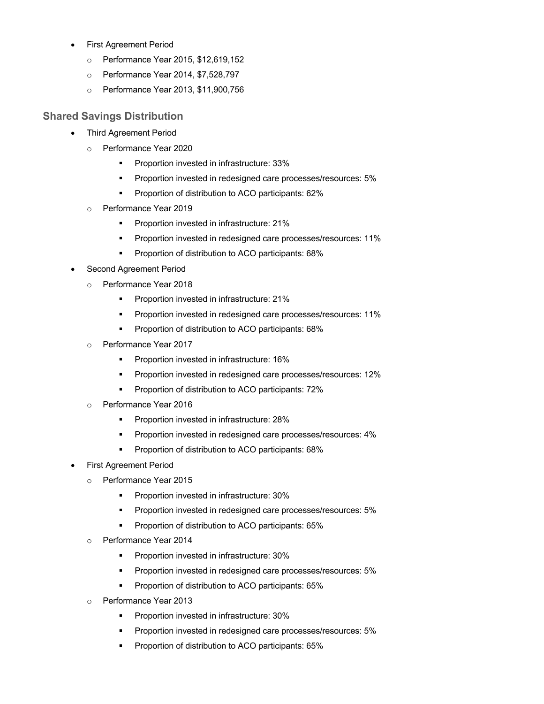- First Agreement Period
	- o Performance Year 2015, \$12,619,152
	- o Performance Year 2014, \$7,528,797
	- o Performance Year 2013, \$11,900,756

### **Shared Savings Distribution**

- Third Agreement Period
	- o Performance Year 2020
		- § Proportion invested in infrastructure: 33%
		- **•** Proportion invested in redesigned care processes/resources: 5%
		- Proportion of distribution to ACO participants: 62%
	- o Performance Year 2019
		- Proportion invested in infrastructure: 21%
		- **•** Proportion invested in redesigned care processes/resources: 11%
		- § Proportion of distribution to ACO participants: 68%
- Second Agreement Period
	- o Performance Year 2018
		- **•** Proportion invested in infrastructure: 21%
		- **•** Proportion invested in redesigned care processes/resources: 11%
		- § Proportion of distribution to ACO participants: 68%
	- Performance Year 2017
		- **•** Proportion invested in infrastructure: 16%
		- **•** Proportion invested in redesigned care processes/resources: 12%
		- Proportion of distribution to ACO participants: 72%
	- o Performance Year 2016
		- § Proportion invested in infrastructure: 28%
		- § Proportion invested in redesigned care processes/resources: 4%
		- Proportion of distribution to ACO participants: 68%
- First Agreement Period
	- o Performance Year 2015
		- § Proportion invested in infrastructure: 30%
		- **•** Proportion invested in redesigned care processes/resources: 5%
		- § Proportion of distribution to ACO participants: 65%
	- o Performance Year 2014
		- § Proportion invested in infrastructure: 30%
		- **•** Proportion invested in redesigned care processes/resources: 5%
		- **•** Proportion of distribution to ACO participants: 65%
	- o Performance Year 2013
		- **•** Proportion invested in infrastructure: 30%
		- **•** Proportion invested in redesigned care processes/resources: 5%
		- § Proportion of distribution to ACO participants: 65%